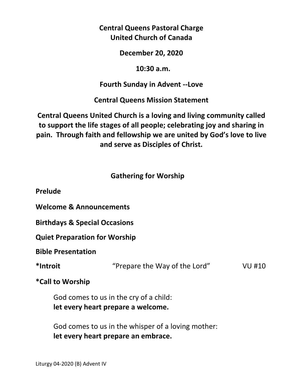# **Central Queens Pastoral Charge United Church of Canada**

### **December 20, 2020**

#### **10:30 a.m.**

# **Fourth Sunday in Advent --Love**

**Central Queens Mission Statement** 

**Central Queens United Church is a loving and living community called to support the life stages of all people; celebrating joy and sharing in pain. Through faith and fellowship we are united by God's love to live and serve as Disciples of Christ.**

# **Gathering for Worship**

**Prelude** 

**Welcome & Announcements** 

**Birthdays & Special Occasions** 

**Quiet Preparation for Worship** 

**Bible Presentation** 

**\*Introit** "Prepare the Way of the Lord" VU #10

**\*Call to Worship** 

 God comes to us in the cry of a child:  **let every heart prepare a welcome.** 

 God comes to us in the whisper of a loving mother:  **let every heart prepare an embrace.**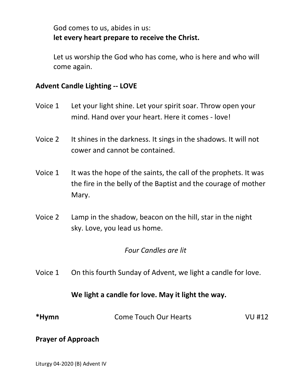God comes to us, abides in us:  **let every heart prepare to receive the Christ.** 

Let us worship the God who has come, who is here and who will come again.

## **Advent Candle Lighting -- LOVE**

- Voice 1 Let your light shine. Let your spirit soar. Throw open your mind. Hand over your heart. Here it comes - love!
- Voice 2 It shines in the darkness. It sings in the shadows. It will not cower and cannot be contained.
- Voice 1 It was the hope of the saints, the call of the prophets. It was the fire in the belly of the Baptist and the courage of mother Mary.
- Voice 2 Lamp in the shadow, beacon on the hill, star in the night sky. Love, you lead us home.

#### *Four Candles are lit*

Voice 1 On this fourth Sunday of Advent, we light a candle for love.

## **We light a candle for love. May it light the way.**

| *Hymn | <b>Come Touch Our Hearts</b> | VU #12 |
|-------|------------------------------|--------|
|       |                              |        |

#### **Prayer of Approach**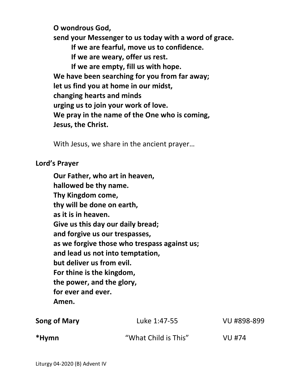**O wondrous God,** 

 **send your Messenger to us today with a word of grace.** 

 **If we are fearful, move us to confidence.** 

 **If we are weary, offer us rest.** 

 **If we are empty, fill us with hope. We have been searching for you from far away; let us find you at home in our midst, changing hearts and minds urging us to join your work of love. We pray in the name of the One who is coming, Jesus, the Christ.** 

With Jesus, we share in the ancient prayer…

### **Lord's Prayer**

**Our Father, who art in heaven, hallowed be thy name. Thy Kingdom come, thy will be done on earth, as it is in heaven. Give us this day our daily bread; and forgive us our trespasses, as we forgive those who trespass against us; and lead us not into temptation, but deliver us from evil. For thine is the kingdom, the power, and the glory, for ever and ever. Amen.** 

| Song of Mary | Luke 1:47-55         | VU #898-899 |
|--------------|----------------------|-------------|
| *Hymn        | "What Child is This" | VU #74      |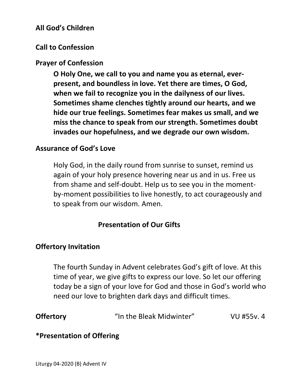# **All God's Children**

## **Call to Confession**

#### **Prayer of Confession**

**O Holy One, we call to you and name you as eternal, ever present, and boundless in love. Yet there are times, O God, when we fail to recognize you in the dailyness of our lives. Sometimes shame clenches tightly around our hearts, and we hide our true feelings. Sometimes fear makes us small, and we miss the chance to speak from our strength. Sometimes doubt invades our hopefulness, and we degrade our own wisdom.** 

#### **Assurance of God's Love**

 Holy God, in the daily round from sunrise to sunset, remind us again of your holy presence hovering near us and in us. Free us from shame and self-doubt. Help us to see you in the moment by-moment possibilities to live honestly, to act courageously and to speak from our wisdom. Amen.

## **Presentation of Our Gifts**

#### **Offertory Invitation**

The fourth Sunday in Advent celebrates God's gift of love. At this time of year, we give gifts to express our love. So let our offering today be a sign of your love for God and those in God's world who need our love to brighten dark days and difficult times.

| <b>Offertory</b> | "In the Bleak Midwinter" | VU #55v. 4 |
|------------------|--------------------------|------------|
|------------------|--------------------------|------------|

# **\*Presentation of Offering**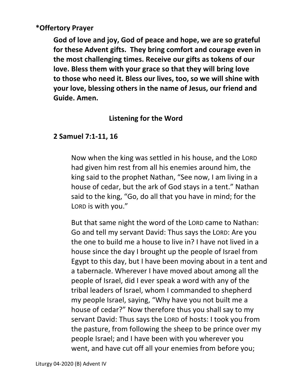# **\*Offertory Prayer**

**God of love and joy, God of peace and hope, we are so grateful for these Advent gifts. They bring comfort and courage even in the most challenging times. Receive our gifts as tokens of our love. Bless them with your grace so that they will bring love to those who need it. Bless our lives, too, so we will shine with your love, blessing others in the name of Jesus, our friend and Guide. Amen.** 

# **Listening for the Word**

# **2 Samuel 7:1-11, 16**

Now when the king was settled in his house, and the LORD had given him rest from all his enemies around him, the king said to the prophet Nathan, "See now, I am living in a house of cedar, but the ark of God stays in a tent." Nathan said to the king, "Go, do all that you have in mind; for the LORD is with you."

 But that same night the word of the LORD came to Nathan: Go and tell my servant David: Thus says the LORD: Are you the one to build me a house to live in? I have not lived in a house since the day I brought up the people of Israel from Egypt to this day, but I have been moving about in a tent and a tabernacle. Wherever I have moved about among all the people of Israel, did I ever speak a word with any of the tribal leaders of Israel, whom I commanded to shepherd my people Israel, saying, "Why have you not built me a house of cedar?" Now therefore thus you shall say to my servant David: Thus says the LORD of hosts: I took you from the pasture, from following the sheep to be prince over my people Israel; and I have been with you wherever you went, and have cut off all your enemies from before you;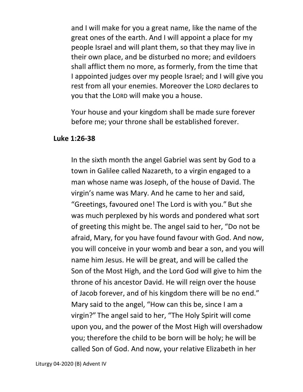and I will make for you a great name, like the name of the great ones of the earth. And I will appoint a place for my people Israel and will plant them, so that they may live in their own place, and be disturbed no more; and evildoers shall afflict them no more, as formerly, from the time that I appointed judges over my people Israel; and I will give you rest from all your enemies. Moreover the LORD declares to you that the LORD will make you a house.

 Your house and your kingdom shall be made sure forever before me; your throne shall be established forever.

#### **Luke 1:26-38**

In the sixth month the angel Gabriel was sent by God to a town in Galilee called Nazareth, to a virgin engaged to a man whose name was Joseph, of the house of David. The virgin's name was Mary. And he came to her and said, "Greetings, favoured one! The Lord is with you." But she was much perplexed by his words and pondered what sort of greeting this might be. The angel said to her, "Do not be afraid, Mary, for you have found favour with God. And now, you will conceive in your womb and bear a son, and you will name him Jesus. He will be great, and will be called the Son of the Most High, and the Lord God will give to him the throne of his ancestor David. He will reign over the house of Jacob forever, and of his kingdom there will be no end." Mary said to the angel, "How can this be, since I am a virgin?" The angel said to her, "The Holy Spirit will come upon you, and the power of the Most High will overshadow you; therefore the child to be born will be holy; he will be called Son of God. And now, your relative Elizabeth in her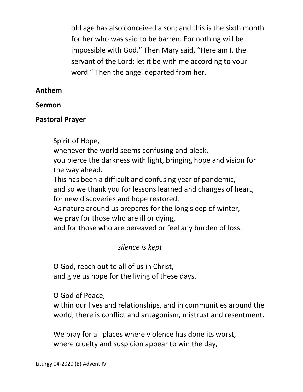old age has also conceived a son; and this is the sixth month for her who was said to be barren. For nothing will be impossible with God." Then Mary said, "Here am I, the servant of the Lord; let it be with me according to your word." Then the angel departed from her.

## **Anthem**

#### **Sermon**

### **Pastoral Prayer**

Spirit of Hope,

whenever the world seems confusing and bleak,

 you pierce the darkness with light, bringing hope and vision for the way ahead.

This has been a difficult and confusing year of pandemic,

 and so we thank you for lessons learned and changes of heart, for new discoveries and hope restored.

 As nature around us prepares for the long sleep of winter, we pray for those who are ill or dying,

and for those who are bereaved or feel any burden of loss.

# *silence is kept*

 O God, reach out to all of us in Christ, and give us hope for the living of these days.

O God of Peace,

 within our lives and relationships, and in communities around the world, there is conflict and antagonism, mistrust and resentment.

 We pray for all places where violence has done its worst, where cruelty and suspicion appear to win the day,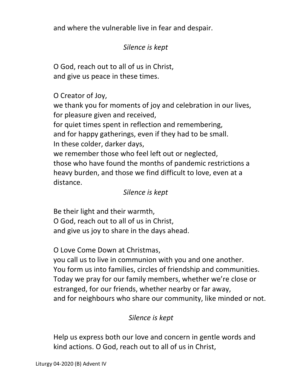and where the vulnerable live in fear and despair.

# *Silence is kept*

 O God, reach out to all of us in Christ, and give us peace in these times.

# O Creator of Joy,

 we thank you for moments of joy and celebration in our lives, for pleasure given and received,

for quiet times spent in reflection and remembering,

and for happy gatherings, even if they had to be small.

In these colder, darker days,

 we remember those who feel left out or neglected, those who have found the months of pandemic restrictions a heavy burden, and those we find difficult to love, even at a distance.

# *Silence is kept*

 Be their light and their warmth, O God, reach out to all of us in Christ, and give us joy to share in the days ahead.

O Love Come Down at Christmas,

 you call us to live in communion with you and one another. You form us into families, circles of friendship and communities. Today we pray for our family members, whether we're close or estranged, for our friends, whether nearby or far away, and for neighbours who share our community, like minded or not.

# *Silence is kept*

 Help us express both our love and concern in gentle words and kind actions. O God, reach out to all of us in Christ,